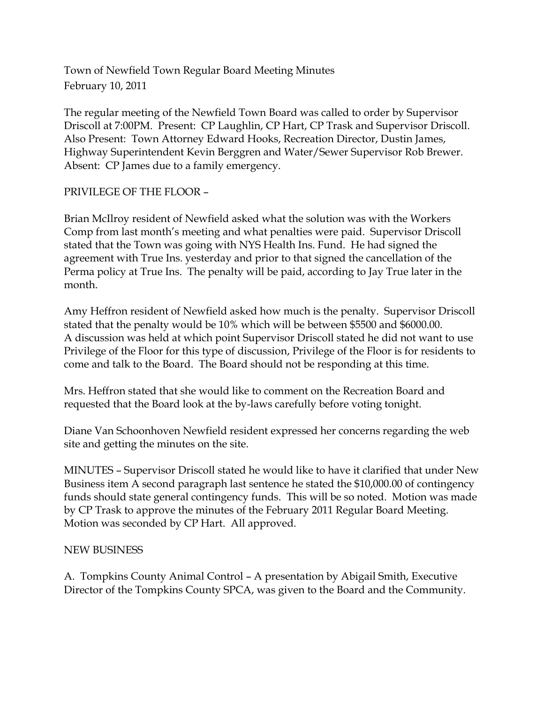Town of Newfield Town Regular Board Meeting Minutes February 10, 2011

The regular meeting of the Newfield Town Board was called to order by Supervisor Driscoll at 7:00PM. Present: CP Laughlin, CP Hart, CP Trask and Supervisor Driscoll. Also Present: Town Attorney Edward Hooks, Recreation Director, Dustin James, Highway Superintendent Kevin Berggren and Water/Sewer Supervisor Rob Brewer. Absent: CP James due to a family emergency.

## PRIVILEGE OF THE FLOOR –

Brian McIlroy resident of Newfield asked what the solution was with the Workers Comp from last month's meeting and what penalties were paid. Supervisor Driscoll stated that the Town was going with NYS Health Ins. Fund. He had signed the agreement with True Ins. yesterday and prior to that signed the cancellation of the Perma policy at True Ins. The penalty will be paid, according to Jay True later in the month.

Amy Heffron resident of Newfield asked how much is the penalty. Supervisor Driscoll stated that the penalty would be 10% which will be between \$5500 and \$6000.00. A discussion was held at which point Supervisor Driscoll stated he did not want to use Privilege of the Floor for this type of discussion, Privilege of the Floor is for residents to come and talk to the Board. The Board should not be responding at this time.

Mrs. Heffron stated that she would like to comment on the Recreation Board and requested that the Board look at the by-laws carefully before voting tonight.

Diane Van Schoonhoven Newfield resident expressed her concerns regarding the web site and getting the minutes on the site.

MINUTES – Supervisor Driscoll stated he would like to have it clarified that under New Business item A second paragraph last sentence he stated the \$10,000.00 of contingency funds should state general contingency funds. This will be so noted. Motion was made by CP Trask to approve the minutes of the February 2011 Regular Board Meeting. Motion was seconded by CP Hart. All approved.

## NEW BUSINESS

A. Tompkins County Animal Control – A presentation by Abigail Smith, Executive Director of the Tompkins County SPCA, was given to the Board and the Community.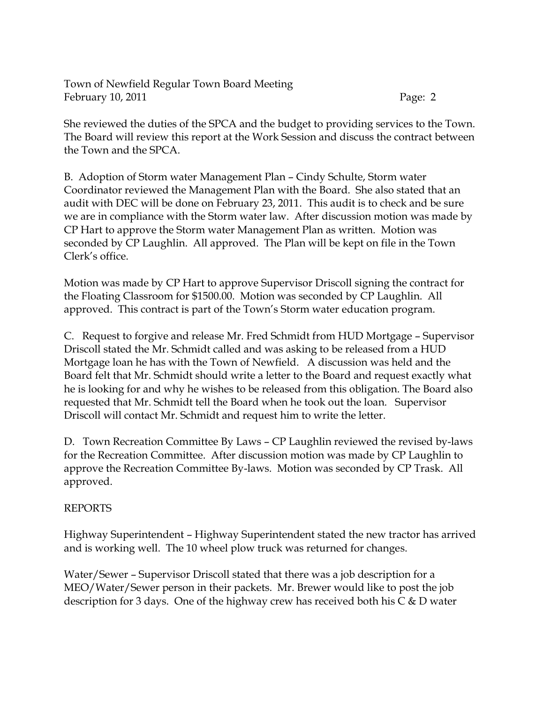Town of Newfield Regular Town Board Meeting February 10, 2011 Page: 2

She reviewed the duties of the SPCA and the budget to providing services to the Town. The Board will review this report at the Work Session and discuss the contract between the Town and the SPCA.

B. Adoption of Storm water Management Plan – Cindy Schulte, Storm water Coordinator reviewed the Management Plan with the Board. She also stated that an audit with DEC will be done on February 23, 2011. This audit is to check and be sure we are in compliance with the Storm water law. After discussion motion was made by CP Hart to approve the Storm water Management Plan as written. Motion was seconded by CP Laughlin. All approved. The Plan will be kept on file in the Town Clerk's office.

Motion was made by CP Hart to approve Supervisor Driscoll signing the contract for the Floating Classroom for \$1500.00. Motion was seconded by CP Laughlin. All approved. This contract is part of the Town's Storm water education program.

C. Request to forgive and release Mr. Fred Schmidt from HUD Mortgage – Supervisor Driscoll stated the Mr. Schmidt called and was asking to be released from a HUD Mortgage loan he has with the Town of Newfield. A discussion was held and the Board felt that Mr. Schmidt should write a letter to the Board and request exactly what he is looking for and why he wishes to be released from this obligation. The Board also requested that Mr. Schmidt tell the Board when he took out the loan. Supervisor Driscoll will contact Mr. Schmidt and request him to write the letter.

D. Town Recreation Committee By Laws – CP Laughlin reviewed the revised by-laws for the Recreation Committee. After discussion motion was made by CP Laughlin to approve the Recreation Committee By-laws. Motion was seconded by CP Trask. All approved.

## REPORTS

Highway Superintendent – Highway Superintendent stated the new tractor has arrived and is working well. The 10 wheel plow truck was returned for changes.

Water/Sewer – Supervisor Driscoll stated that there was a job description for a MEO/Water/Sewer person in their packets. Mr. Brewer would like to post the job description for 3 days. One of the highway crew has received both his  $C \& D$  water